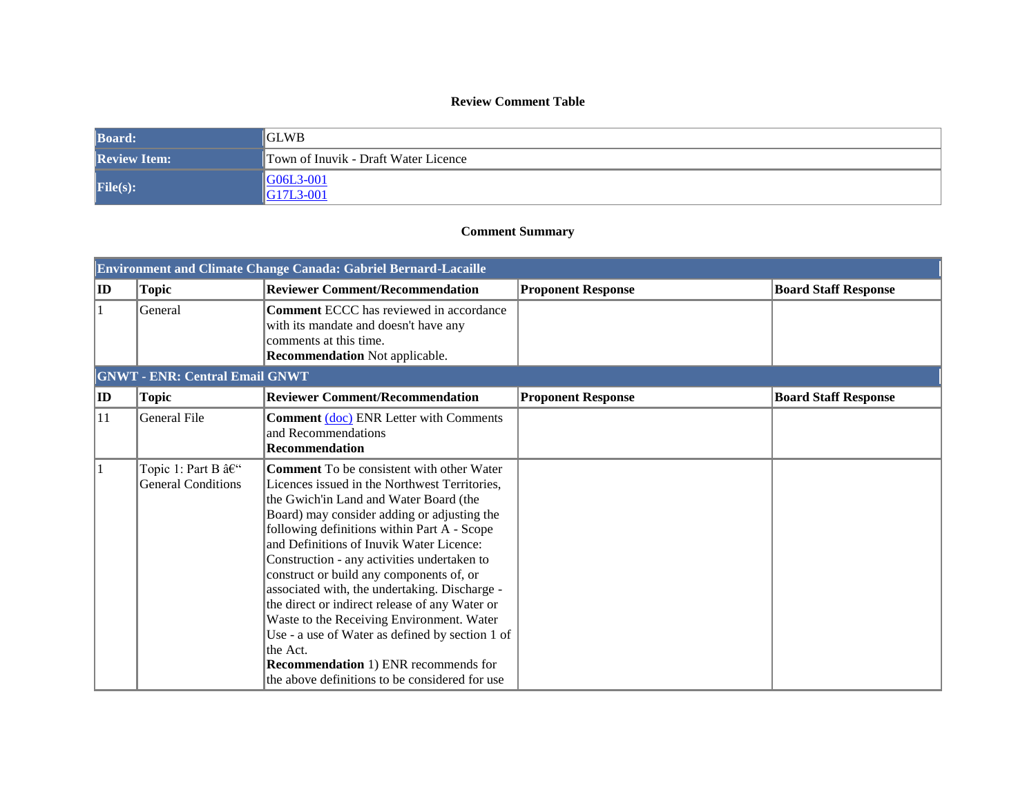## **Review Comment Table**

| <b>Board:</b>       | <b>GLWB</b>                            |
|---------------------|----------------------------------------|
| <b>Review Item:</b> | Town of Inuvik - Draft Water Licence   |
| File(s):            | $\blacklozenge$ G06L3-001<br>G17L3-001 |

## **Comment Summary**

|        | <b>Environment and Climate Change Canada: Gabriel Bernard-Lacaille</b> |                                                                                                                                                                                                                                                                                                                                                                                                                                                                                                                                                                                                                                                                                                  |                           |                             |  |
|--------|------------------------------------------------------------------------|--------------------------------------------------------------------------------------------------------------------------------------------------------------------------------------------------------------------------------------------------------------------------------------------------------------------------------------------------------------------------------------------------------------------------------------------------------------------------------------------------------------------------------------------------------------------------------------------------------------------------------------------------------------------------------------------------|---------------------------|-----------------------------|--|
| $ $ ID | <b>Topic</b>                                                           | <b>Reviewer Comment/Recommendation</b>                                                                                                                                                                                                                                                                                                                                                                                                                                                                                                                                                                                                                                                           | <b>Proponent Response</b> | <b>Board Staff Response</b> |  |
|        | General                                                                | <b>Comment ECCC</b> has reviewed in accordance<br>with its mandate and doesn't have any<br>comments at this time.<br><b>Recommendation Not applicable.</b>                                                                                                                                                                                                                                                                                                                                                                                                                                                                                                                                       |                           |                             |  |
|        | <b>GNWT - ENR: Central Email GNWT</b>                                  |                                                                                                                                                                                                                                                                                                                                                                                                                                                                                                                                                                                                                                                                                                  |                           |                             |  |
| $ $ ID | <b>Topic</b>                                                           | <b>Reviewer Comment/Recommendation</b>                                                                                                                                                                                                                                                                                                                                                                                                                                                                                                                                                                                                                                                           | <b>Proponent Response</b> | <b>Board Staff Response</b> |  |
| 11     | General File                                                           | <b>Comment (doc) ENR Letter with Comments</b><br>and Recommendations<br>Recommendation                                                                                                                                                                                                                                                                                                                                                                                                                                                                                                                                                                                                           |                           |                             |  |
| 11     | Topic 1: Part B –<br><b>General Conditions</b>                         | <b>Comment</b> To be consistent with other Water<br>Licences issued in the Northwest Territories,<br>the Gwich'in Land and Water Board (the<br>Board) may consider adding or adjusting the<br>following definitions within Part A - Scope<br>and Definitions of Inuvik Water Licence:<br>Construction - any activities undertaken to<br>construct or build any components of, or<br>associated with, the undertaking. Discharge -<br>the direct or indirect release of any Water or<br>Waste to the Receiving Environment. Water<br>Use - a use of Water as defined by section 1 of<br>the Act.<br><b>Recommendation</b> 1) ENR recommends for<br>the above definitions to be considered for use |                           |                             |  |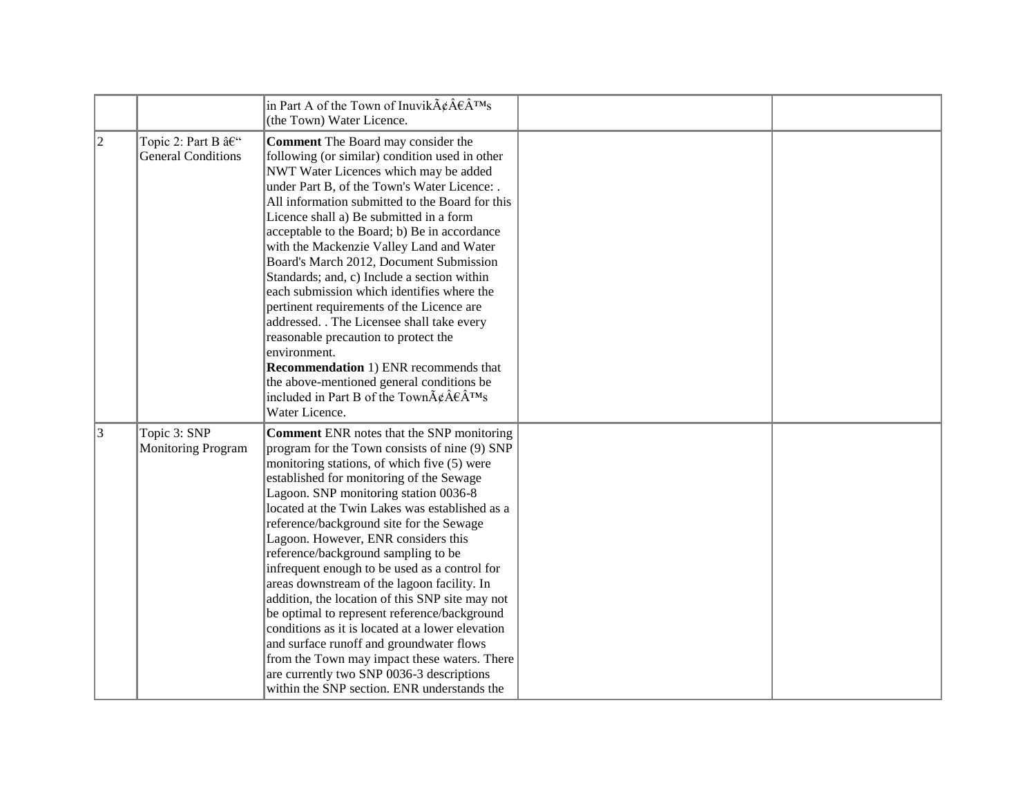|   |                                                | in Part A of the Town of Inuvik $\tilde{A}\phi\hat{A}\theta\hat{A}^{\text{TM}}s$<br>(the Town) Water Licence.                                                                                                                                                                                                                                                                                                                                                                                                                                                                                                                                                                                                                                                                                                                                                    |  |
|---|------------------------------------------------|------------------------------------------------------------------------------------------------------------------------------------------------------------------------------------------------------------------------------------------------------------------------------------------------------------------------------------------------------------------------------------------------------------------------------------------------------------------------------------------------------------------------------------------------------------------------------------------------------------------------------------------------------------------------------------------------------------------------------------------------------------------------------------------------------------------------------------------------------------------|--|
| 2 | Topic 2: Part B –<br><b>General Conditions</b> | Comment The Board may consider the<br>following (or similar) condition used in other<br>NWT Water Licences which may be added<br>under Part B, of the Town's Water Licence: .<br>All information submitted to the Board for this<br>Licence shall a) Be submitted in a form<br>acceptable to the Board; b) Be in accordance<br>with the Mackenzie Valley Land and Water<br>Board's March 2012, Document Submission<br>Standards; and, c) Include a section within<br>each submission which identifies where the<br>pertinent requirements of the Licence are<br>addressed. . The Licensee shall take every<br>reasonable precaution to protect the<br>environment.<br><b>Recommendation</b> 1) ENR recommends that<br>the above-mentioned general conditions be<br>included in Part B of the Town $\tilde{A}\xi\hat{A}\xi\hat{A}^{TM}s$<br>Water Licence.        |  |
| 3 | Topic 3: SNP<br><b>Monitoring Program</b>      | <b>Comment ENR notes that the SNP monitoring</b><br>program for the Town consists of nine (9) SNP<br>monitoring stations, of which five (5) were<br>established for monitoring of the Sewage<br>Lagoon. SNP monitoring station 0036-8<br>located at the Twin Lakes was established as a<br>reference/background site for the Sewage<br>Lagoon. However, ENR considers this<br>reference/background sampling to be<br>infrequent enough to be used as a control for<br>areas downstream of the lagoon facility. In<br>addition, the location of this SNP site may not<br>be optimal to represent reference/background<br>conditions as it is located at a lower elevation<br>and surface runoff and groundwater flows<br>from the Town may impact these waters. There<br>are currently two SNP 0036-3 descriptions<br>within the SNP section. ENR understands the |  |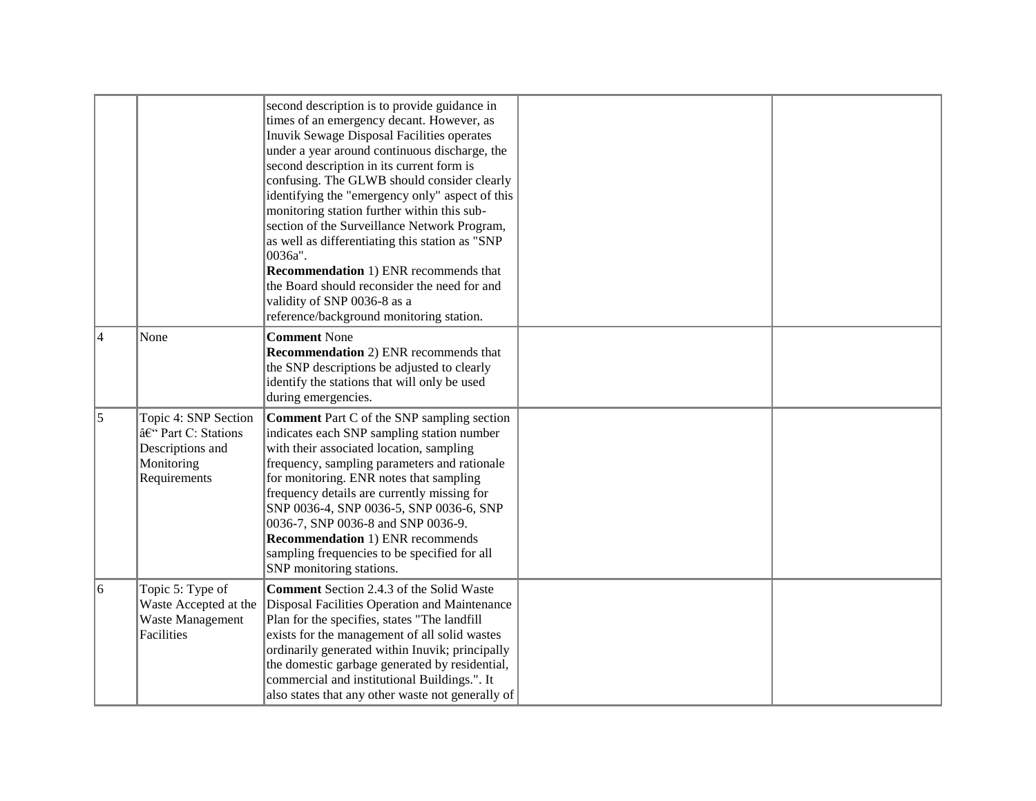|           |                                                                                                | second description is to provide guidance in<br>times of an emergency decant. However, as<br>Inuvik Sewage Disposal Facilities operates<br>under a year around continuous discharge, the<br>second description in its current form is<br>confusing. The GLWB should consider clearly<br>identifying the "emergency only" aspect of this<br>monitoring station further within this sub-<br>section of the Surveillance Network Program,<br>as well as differentiating this station as "SNP<br>0036a".<br><b>Recommendation</b> 1) ENR recommends that<br>the Board should reconsider the need for and<br>validity of SNP 0036-8 as a<br>reference/background monitoring station. |  |
|-----------|------------------------------------------------------------------------------------------------|---------------------------------------------------------------------------------------------------------------------------------------------------------------------------------------------------------------------------------------------------------------------------------------------------------------------------------------------------------------------------------------------------------------------------------------------------------------------------------------------------------------------------------------------------------------------------------------------------------------------------------------------------------------------------------|--|
| 4         | None                                                                                           | <b>Comment None</b><br><b>Recommendation</b> 2) ENR recommends that<br>the SNP descriptions be adjusted to clearly<br>identify the stations that will only be used<br>during emergencies.                                                                                                                                                                                                                                                                                                                                                                                                                                                                                       |  |
| $\vert$ 5 | Topic 4: SNP Section<br>â€" Part C: Stations<br>Descriptions and<br>Monitoring<br>Requirements | <b>Comment</b> Part C of the SNP sampling section<br>indicates each SNP sampling station number<br>with their associated location, sampling<br>frequency, sampling parameters and rationale<br>for monitoring. ENR notes that sampling<br>frequency details are currently missing for<br>SNP 0036-4, SNP 0036-5, SNP 0036-6, SNP<br>0036-7, SNP 0036-8 and SNP 0036-9.<br><b>Recommendation 1) ENR recommends</b><br>sampling frequencies to be specified for all<br>SNP monitoring stations.                                                                                                                                                                                   |  |
| 6         | Topic 5: Type of<br>Waste Accepted at the<br>Waste Management<br>Facilities                    | <b>Comment</b> Section 2.4.3 of the Solid Waste<br>Disposal Facilities Operation and Maintenance<br>Plan for the specifies, states "The landfill<br>exists for the management of all solid wastes<br>ordinarily generated within Inuvik; principally<br>the domestic garbage generated by residential,<br>commercial and institutional Buildings.". It<br>also states that any other waste not generally of                                                                                                                                                                                                                                                                     |  |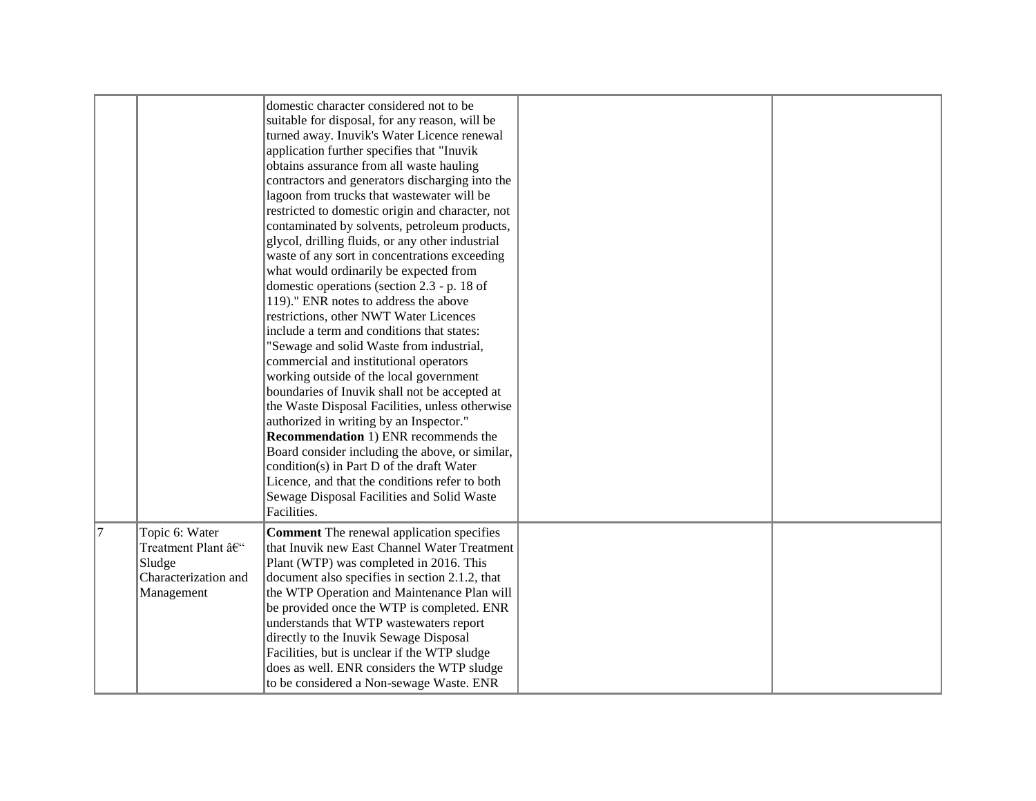|    |                                                                                     | domestic character considered not to be<br>suitable for disposal, for any reason, will be<br>turned away. Inuvik's Water Licence renewal<br>application further specifies that "Inuvik<br>obtains assurance from all waste hauling<br>contractors and generators discharging into the<br>lagoon from trucks that wastewater will be<br>restricted to domestic origin and character, not<br>contaminated by solvents, petroleum products,<br>glycol, drilling fluids, or any other industrial<br>waste of any sort in concentrations exceeding<br>what would ordinarily be expected from<br>domestic operations (section 2.3 - p. 18 of<br>119)." ENR notes to address the above<br>restrictions, other NWT Water Licences<br>include a term and conditions that states:<br>"Sewage and solid Waste from industrial,<br>commercial and institutional operators<br>working outside of the local government<br>boundaries of Inuvik shall not be accepted at<br>the Waste Disposal Facilities, unless otherwise<br>authorized in writing by an Inspector."<br><b>Recommendation</b> 1) ENR recommends the<br>Board consider including the above, or similar,<br>condition(s) in Part D of the draft Water<br>Licence, and that the conditions refer to both<br>Sewage Disposal Facilities and Solid Waste<br>Facilities. |  |
|----|-------------------------------------------------------------------------------------|-----------------------------------------------------------------------------------------------------------------------------------------------------------------------------------------------------------------------------------------------------------------------------------------------------------------------------------------------------------------------------------------------------------------------------------------------------------------------------------------------------------------------------------------------------------------------------------------------------------------------------------------------------------------------------------------------------------------------------------------------------------------------------------------------------------------------------------------------------------------------------------------------------------------------------------------------------------------------------------------------------------------------------------------------------------------------------------------------------------------------------------------------------------------------------------------------------------------------------------------------------------------------------------------------------------------------|--|
| 17 | Topic 6: Water<br>Treatment Plant –<br>Sludge<br>Characterization and<br>Management | <b>Comment</b> The renewal application specifies<br>that Inuvik new East Channel Water Treatment<br>Plant (WTP) was completed in 2016. This<br>document also specifies in section 2.1.2, that<br>the WTP Operation and Maintenance Plan will<br>be provided once the WTP is completed. ENR<br>understands that WTP wastewaters report<br>directly to the Inuvik Sewage Disposal<br>Facilities, but is unclear if the WTP sludge<br>does as well. ENR considers the WTP sludge<br>to be considered a Non-sewage Waste. ENR                                                                                                                                                                                                                                                                                                                                                                                                                                                                                                                                                                                                                                                                                                                                                                                             |  |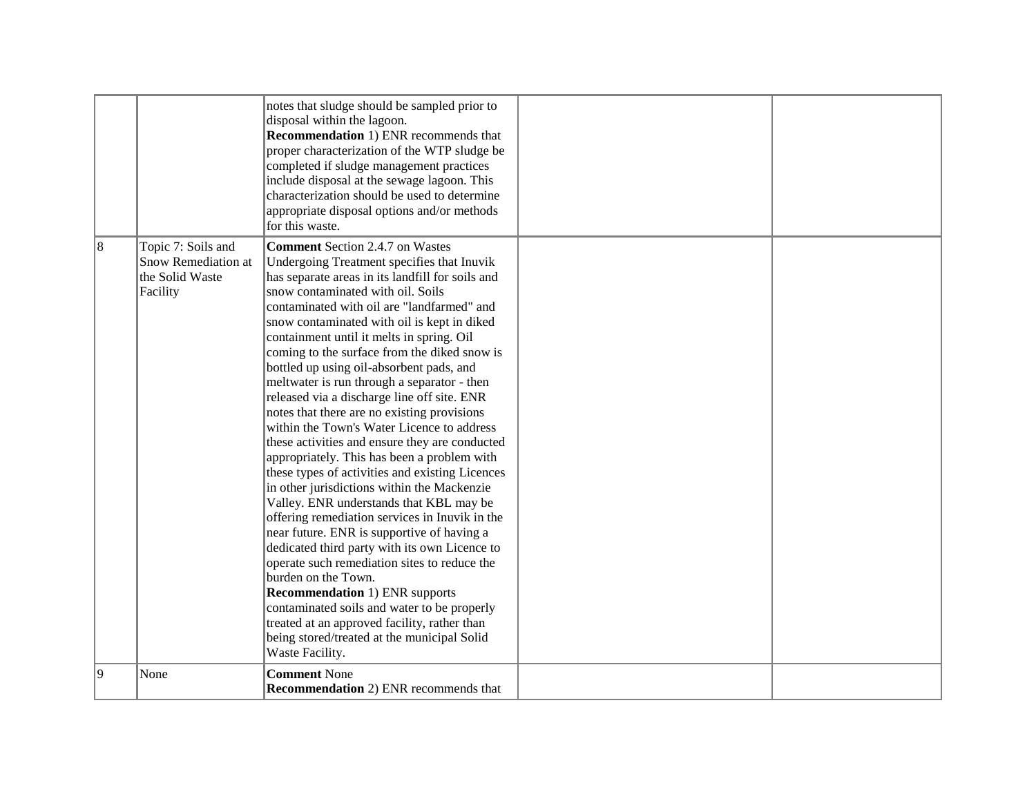|   |                                                                          | notes that sludge should be sampled prior to<br>disposal within the lagoon.<br><b>Recommendation 1) ENR recommends that</b><br>proper characterization of the WTP sludge be<br>completed if sludge management practices<br>include disposal at the sewage lagoon. This<br>characterization should be used to determine<br>appropriate disposal options and/or methods<br>for this waste.                                                                                                                                                                                                                                                                                                                                                                                                                                                                                                                                                                                                                                                                                                                                                                                                                                                                                                       |  |
|---|--------------------------------------------------------------------------|------------------------------------------------------------------------------------------------------------------------------------------------------------------------------------------------------------------------------------------------------------------------------------------------------------------------------------------------------------------------------------------------------------------------------------------------------------------------------------------------------------------------------------------------------------------------------------------------------------------------------------------------------------------------------------------------------------------------------------------------------------------------------------------------------------------------------------------------------------------------------------------------------------------------------------------------------------------------------------------------------------------------------------------------------------------------------------------------------------------------------------------------------------------------------------------------------------------------------------------------------------------------------------------------|--|
| 8 | Topic 7: Soils and<br>Snow Remediation at<br>the Solid Waste<br>Facility | <b>Comment Section 2.4.7 on Wastes</b><br>Undergoing Treatment specifies that Inuvik<br>has separate areas in its landfill for soils and<br>snow contaminated with oil. Soils<br>contaminated with oil are "landfarmed" and<br>snow contaminated with oil is kept in diked<br>containment until it melts in spring. Oil<br>coming to the surface from the diked snow is<br>bottled up using oil-absorbent pads, and<br>meltwater is run through a separator - then<br>released via a discharge line off site. ENR<br>notes that there are no existing provisions<br>within the Town's Water Licence to address<br>these activities and ensure they are conducted<br>appropriately. This has been a problem with<br>these types of activities and existing Licences<br>in other jurisdictions within the Mackenzie<br>Valley. ENR understands that KBL may be<br>offering remediation services in Inuvik in the<br>near future. ENR is supportive of having a<br>dedicated third party with its own Licence to<br>operate such remediation sites to reduce the<br>burden on the Town.<br><b>Recommendation 1) ENR supports</b><br>contaminated soils and water to be properly<br>treated at an approved facility, rather than<br>being stored/treated at the municipal Solid<br>Waste Facility. |  |
| 9 | None                                                                     | <b>Comment None</b><br><b>Recommendation</b> 2) ENR recommends that                                                                                                                                                                                                                                                                                                                                                                                                                                                                                                                                                                                                                                                                                                                                                                                                                                                                                                                                                                                                                                                                                                                                                                                                                            |  |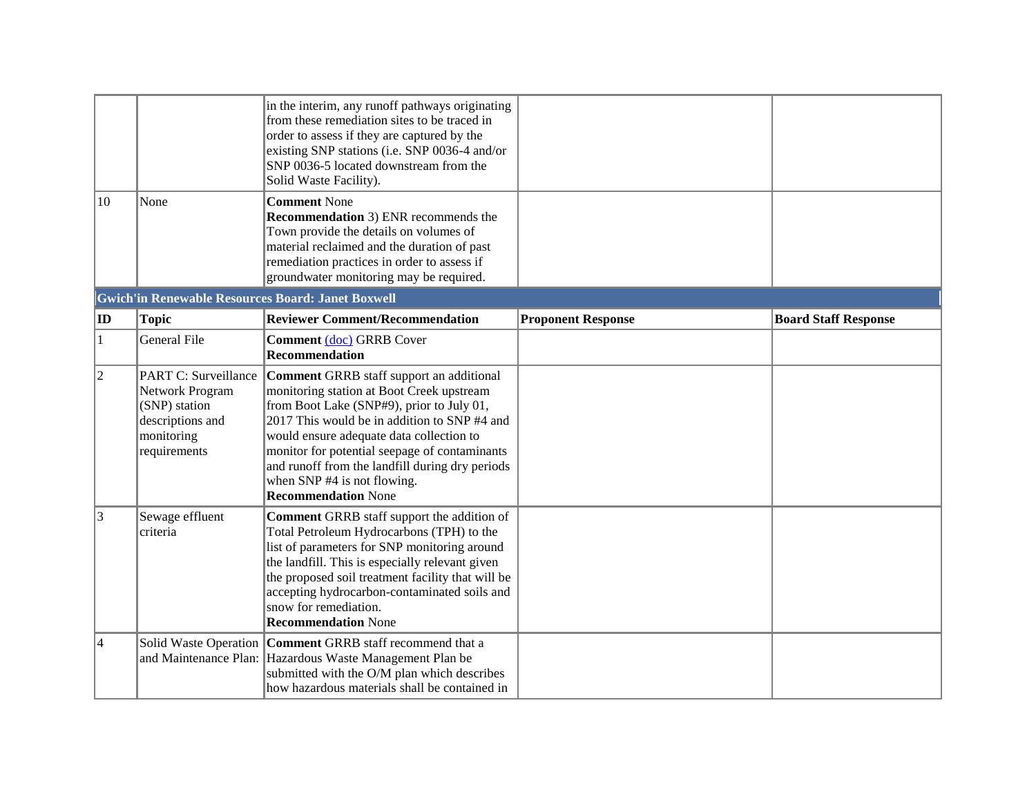|                |                                                                                                                   | in the interim, any runoff pathways originating<br>from these remediation sites to be traced in<br>order to assess if they are captured by the<br>existing SNP stations (i.e. SNP 0036-4 and/or<br>SNP 0036-5 located downstream from the<br>Solid Waste Facility).                                                                                                                             |                           |                             |
|----------------|-------------------------------------------------------------------------------------------------------------------|-------------------------------------------------------------------------------------------------------------------------------------------------------------------------------------------------------------------------------------------------------------------------------------------------------------------------------------------------------------------------------------------------|---------------------------|-----------------------------|
| 10             | None                                                                                                              | <b>Comment None</b><br><b>Recommendation</b> 3) ENR recommends the<br>Town provide the details on volumes of<br>material reclaimed and the duration of past<br>remediation practices in order to assess if<br>groundwater monitoring may be required.                                                                                                                                           |                           |                             |
|                |                                                                                                                   | <b>Gwich'in Renewable Resources Board: Janet Boxwell</b>                                                                                                                                                                                                                                                                                                                                        |                           |                             |
| $ {\bf ID} $   | <b>Topic</b>                                                                                                      | <b>Reviewer Comment/Recommendation</b>                                                                                                                                                                                                                                                                                                                                                          | <b>Proponent Response</b> | <b>Board Staff Response</b> |
| $\mathbf{1}$   | <b>General File</b>                                                                                               | Comment (doc) GRRB Cover<br>Recommendation                                                                                                                                                                                                                                                                                                                                                      |                           |                             |
| $\overline{2}$ | <b>PART C: Surveillance</b><br>Network Program<br>(SNP) station<br>descriptions and<br>monitoring<br>requirements | Comment GRRB staff support an additional<br>monitoring station at Boot Creek upstream<br>from Boot Lake (SNP#9), prior to July 01,<br>2017 This would be in addition to SNP #4 and<br>would ensure adequate data collection to<br>monitor for potential seepage of contaminants<br>and runoff from the landfill during dry periods<br>when SNP #4 is not flowing.<br><b>Recommendation None</b> |                           |                             |
| 3              | Sewage effluent<br>criteria                                                                                       | <b>Comment GRRB</b> staff support the addition of<br>Total Petroleum Hydrocarbons (TPH) to the<br>list of parameters for SNP monitoring around<br>the landfill. This is especially relevant given<br>the proposed soil treatment facility that will be<br>accepting hydrocarbon-contaminated soils and<br>snow for remediation.<br><b>Recommendation None</b>                                   |                           |                             |
| 4              |                                                                                                                   | Solid Waste Operation   Comment GRRB staff recommend that a<br>and Maintenance Plan: Hazardous Waste Management Plan be<br>submitted with the O/M plan which describes<br>how hazardous materials shall be contained in                                                                                                                                                                         |                           |                             |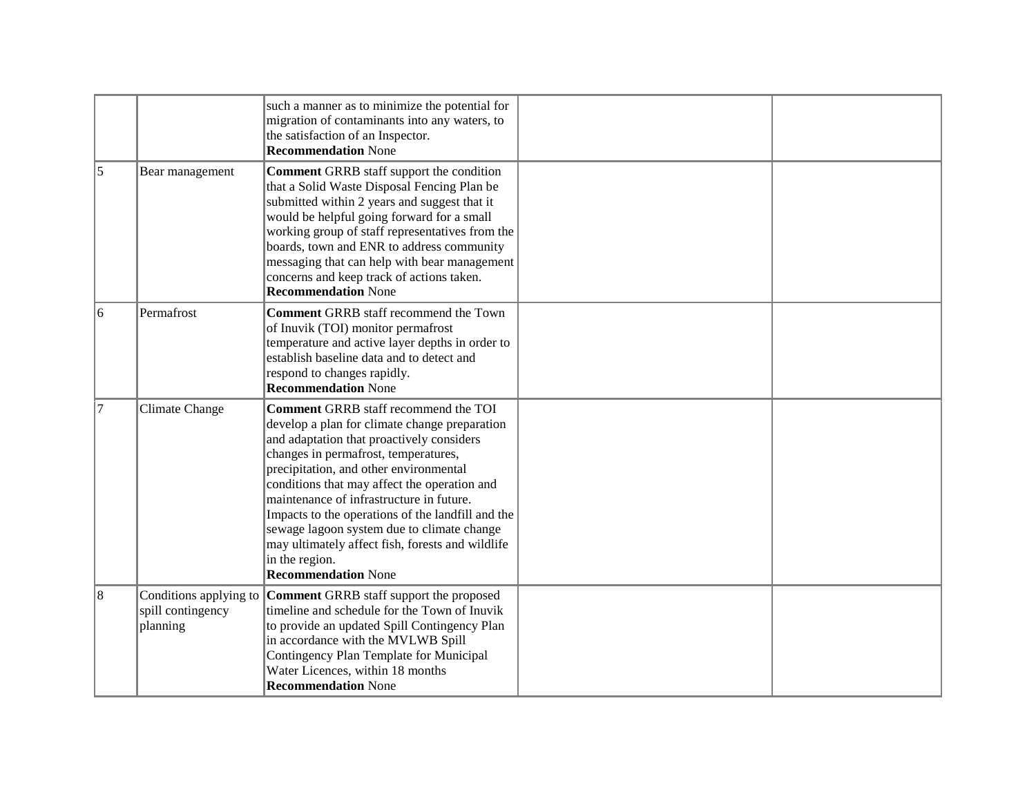|    |                                                         | such a manner as to minimize the potential for<br>migration of contaminants into any waters, to<br>the satisfaction of an Inspector.<br><b>Recommendation None</b>                                                                                                                                                                                                                                                                                                                                                             |  |
|----|---------------------------------------------------------|--------------------------------------------------------------------------------------------------------------------------------------------------------------------------------------------------------------------------------------------------------------------------------------------------------------------------------------------------------------------------------------------------------------------------------------------------------------------------------------------------------------------------------|--|
| 5  | Bear management                                         | <b>Comment GRRB</b> staff support the condition<br>that a Solid Waste Disposal Fencing Plan be<br>submitted within 2 years and suggest that it<br>would be helpful going forward for a small<br>working group of staff representatives from the<br>boards, town and ENR to address community<br>messaging that can help with bear management<br>concerns and keep track of actions taken.<br><b>Recommendation None</b>                                                                                                        |  |
| 16 | Permafrost                                              | <b>Comment GRRB</b> staff recommend the Town<br>of Inuvik (TOI) monitor permafrost<br>temperature and active layer depths in order to<br>establish baseline data and to detect and<br>respond to changes rapidly.<br><b>Recommendation None</b>                                                                                                                                                                                                                                                                                |  |
| 17 | <b>Climate Change</b>                                   | <b>Comment GRRB</b> staff recommend the TOI<br>develop a plan for climate change preparation<br>and adaptation that proactively considers<br>changes in permafrost, temperatures,<br>precipitation, and other environmental<br>conditions that may affect the operation and<br>maintenance of infrastructure in future.<br>Impacts to the operations of the landfill and the<br>sewage lagoon system due to climate change<br>may ultimately affect fish, forests and wildlife<br>in the region.<br><b>Recommendation None</b> |  |
| 8  | Conditions applying to<br>spill contingency<br>planning | Comment GRRB staff support the proposed<br>timeline and schedule for the Town of Inuvik<br>to provide an updated Spill Contingency Plan<br>in accordance with the MVLWB Spill<br>Contingency Plan Template for Municipal<br>Water Licences, within 18 months<br><b>Recommendation None</b>                                                                                                                                                                                                                                     |  |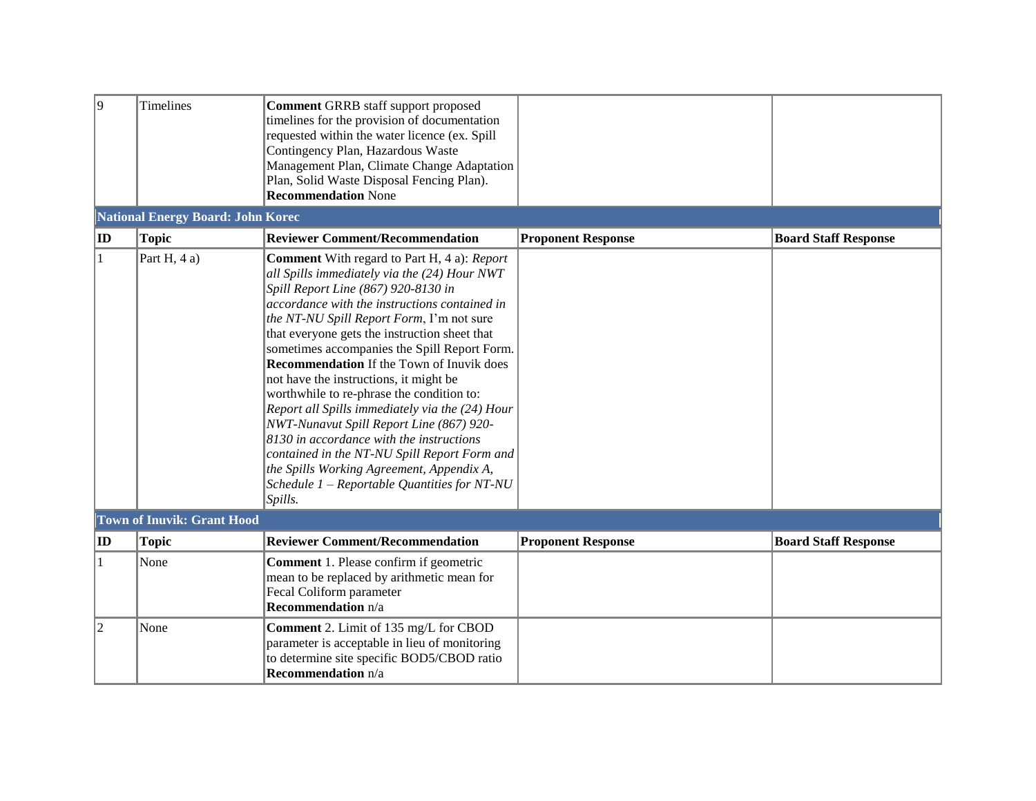| 9            | <b>Timelines</b>                         | <b>Comment GRRB</b> staff support proposed<br>timelines for the provision of documentation<br>requested within the water licence (ex. Spill<br>Contingency Plan, Hazardous Waste<br>Management Plan, Climate Change Adaptation<br>Plan, Solid Waste Disposal Fencing Plan).<br><b>Recommendation None</b>                                                                                                                                                                                                                                                                                                                                                                                                                                                                              |                           |                             |
|--------------|------------------------------------------|----------------------------------------------------------------------------------------------------------------------------------------------------------------------------------------------------------------------------------------------------------------------------------------------------------------------------------------------------------------------------------------------------------------------------------------------------------------------------------------------------------------------------------------------------------------------------------------------------------------------------------------------------------------------------------------------------------------------------------------------------------------------------------------|---------------------------|-----------------------------|
|              | <b>National Energy Board: John Korec</b> |                                                                                                                                                                                                                                                                                                                                                                                                                                                                                                                                                                                                                                                                                                                                                                                        |                           |                             |
| $ {\bf ID} $ | <b>Topic</b>                             | <b>Reviewer Comment/Recommendation</b>                                                                                                                                                                                                                                                                                                                                                                                                                                                                                                                                                                                                                                                                                                                                                 | <b>Proponent Response</b> | <b>Board Staff Response</b> |
| 1            | Part H, 4 a)                             | <b>Comment</b> With regard to Part H, 4 a): Report<br>all Spills immediately via the (24) Hour NWT<br>Spill Report Line (867) 920-8130 in<br>accordance with the instructions contained in<br>the NT-NU Spill Report Form, I'm not sure<br>that everyone gets the instruction sheet that<br>sometimes accompanies the Spill Report Form.<br><b>Recommendation</b> If the Town of Inuvik does<br>not have the instructions, it might be<br>worthwhile to re-phrase the condition to:<br>Report all Spills immediately via the (24) Hour<br>NWT-Nunavut Spill Report Line (867) 920-<br>8130 in accordance with the instructions<br>contained in the NT-NU Spill Report Form and<br>the Spills Working Agreement, Appendix A,<br>Schedule 1 - Reportable Quantities for NT-NU<br>Spills. |                           |                             |
|              | <b>Town of Inuvik: Grant Hood</b>        |                                                                                                                                                                                                                                                                                                                                                                                                                                                                                                                                                                                                                                                                                                                                                                                        |                           |                             |
| $ $ ID       | <b>Topic</b>                             | <b>Reviewer Comment/Recommendation</b>                                                                                                                                                                                                                                                                                                                                                                                                                                                                                                                                                                                                                                                                                                                                                 | <b>Proponent Response</b> | <b>Board Staff Response</b> |
| 1            | None                                     | Comment 1. Please confirm if geometric<br>mean to be replaced by arithmetic mean for<br>Fecal Coliform parameter<br><b>Recommendation</b> n/a                                                                                                                                                                                                                                                                                                                                                                                                                                                                                                                                                                                                                                          |                           |                             |
| 2            | None                                     | Comment 2. Limit of 135 mg/L for CBOD<br>parameter is acceptable in lieu of monitoring<br>to determine site specific BOD5/CBOD ratio<br><b>Recommendation</b> n/a                                                                                                                                                                                                                                                                                                                                                                                                                                                                                                                                                                                                                      |                           |                             |